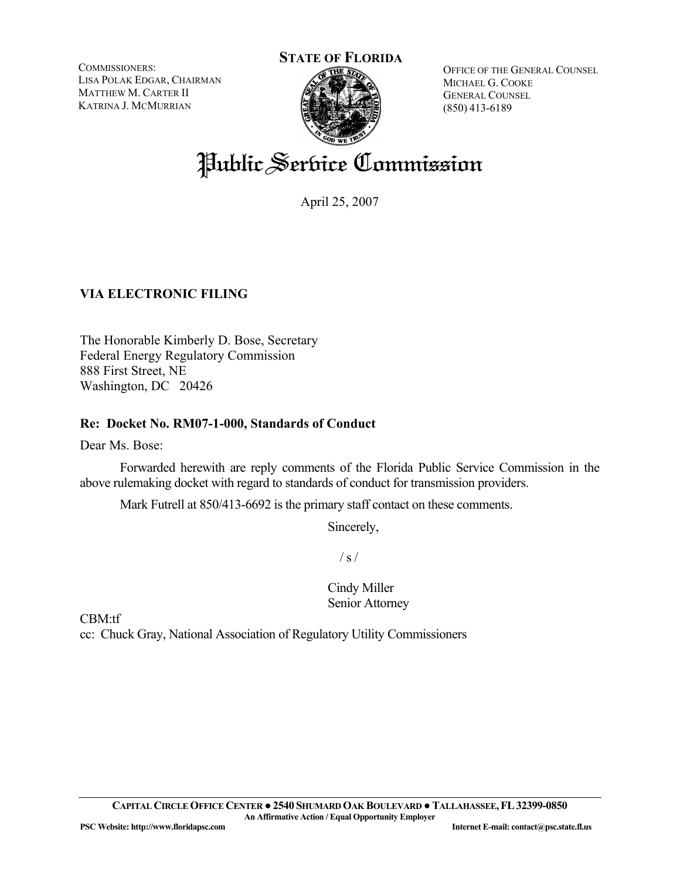COMMISSIONERS: LISA POLAK EDGAR, CHAIRMAN MATTHEW M. CARTER II KATRINA J. MCMURRIAN

# **STATE OF FLORIDA**

OFFICE OF THE GENERAL COUNSEL MICHAEL G. COOKE GENERAL COUNSEL (850) 413-6189

# Public Service Commission

April 25, 2007

# **VIA ELECTRONIC FILING**

The Honorable Kimberly D. Bose, Secretary Federal Energy Regulatory Commission 888 First Street, NE Washington, DC 20426

## **Re: Docket No. RM07-1-000, Standards of Conduct**

Dear Ms. Bose:

Forwarded herewith are reply comments of the Florida Public Service Commission in the above rulemaking docket with regard to standards of conduct for transmission providers.

Mark Futrell at 850/413-6692 is the primary staff contact on these comments.

Sincerely,

 $/ s /$ 

Cindy Miller Senior Attorney

CBM:tf

cc: Chuck Gray, National Association of Regulatory Utility Commissioners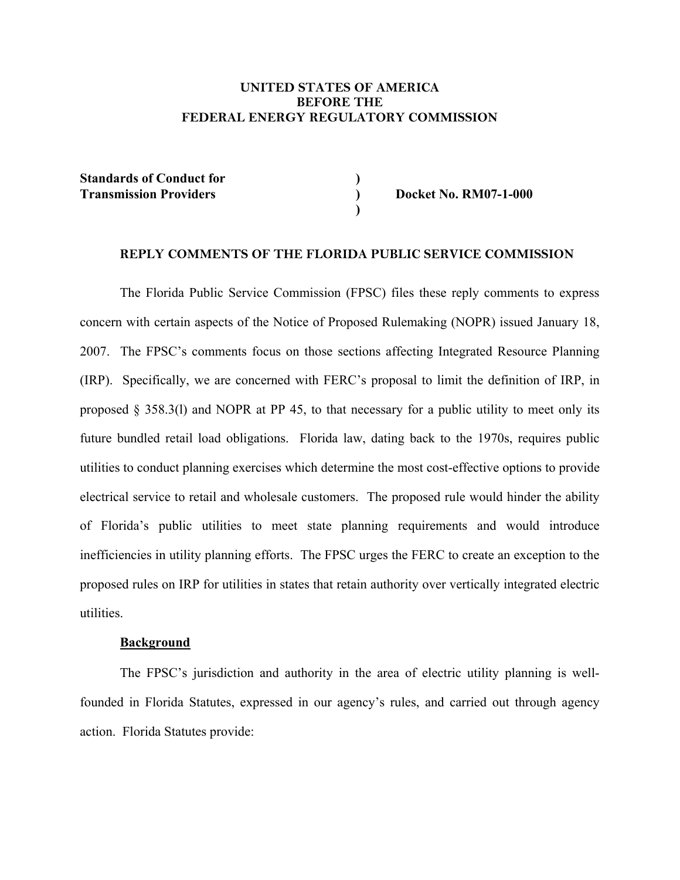#### **UNITED STATES OF AMERICA BEFORE THE FEDERAL ENERGY REGULATORY COMMISSION**

**Standards of Conduct for Transmission Providers** 

**Docket No. RM07-1-000** 

#### **REPLY COMMENTS OF THE FLORIDA PUBLIC SERVICE COMMISSION**

**) ) )** 

The Florida Public Service Commission (FPSC) files these reply comments to express concern with certain aspects of the Notice of Proposed Rulemaking (NOPR) issued January 18, 2007. The FPSC's comments focus on those sections affecting Integrated Resource Planning (IRP). Specifically, we are concerned with FERC's proposal to limit the definition of IRP, in proposed  $\S$  358.3(1) and NOPR at PP 45, to that necessary for a public utility to meet only its future bundled retail load obligations. Florida law, dating back to the 1970s, requires public utilities to conduct planning exercises which determine the most cost-effective options to provide electrical service to retail and wholesale customers. The proposed rule would hinder the ability of Florida's public utilities to meet state planning requirements and would introduce inefficiencies in utility planning efforts. The FPSC urges the FERC to create an exception to the proposed rules on IRP for utilities in states that retain authority over vertically integrated electric utilities.

#### **Background**

The FPSC's jurisdiction and authority in the area of electric utility planning is wellfounded in Florida Statutes, expressed in our agency's rules, and carried out through agency action. Florida Statutes provide: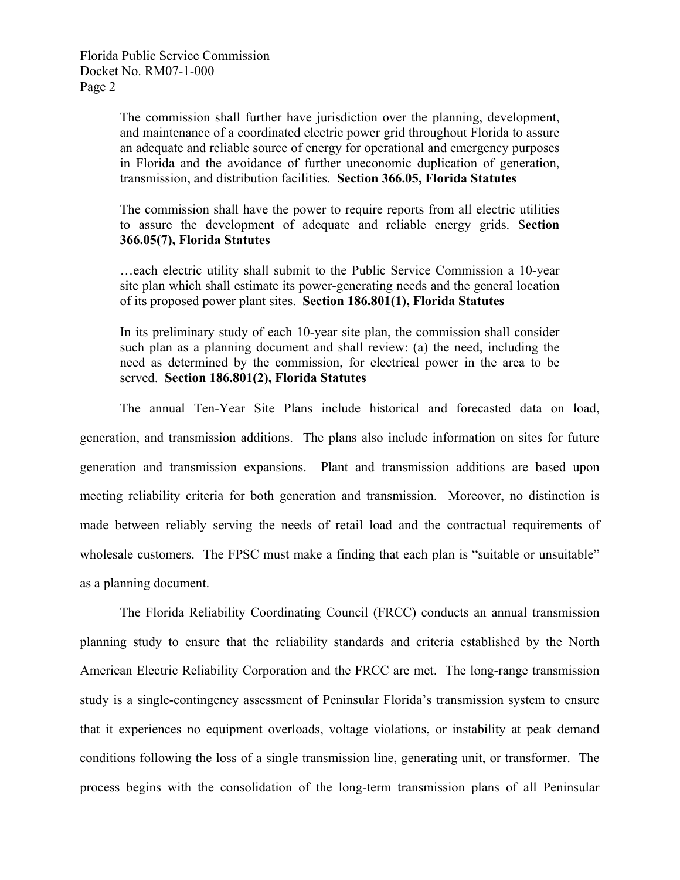> The commission shall further have jurisdiction over the planning, development, and maintenance of a coordinated electric power grid throughout Florida to assure an adequate and reliable source of energy for operational and emergency purposes in Florida and the avoidance of further uneconomic duplication of generation, transmission, and distribution facilities. **Section 366.05, Florida Statutes**

> The commission shall have the power to require reports from all electric utilities to assure the development of adequate and reliable energy grids. S**ection 366.05(7), Florida Statutes**

> …each electric utility shall submit to the Public Service Commission a 10-year site plan which shall estimate its power-generating needs and the general location of its proposed power plant sites. **Section 186.801(1), Florida Statutes**

> In its preliminary study of each 10-year site plan, the commission shall consider such plan as a planning document and shall review: (a) the need, including the need as determined by the commission, for electrical power in the area to be served. **Section 186.801(2), Florida Statutes**

The annual Ten-Year Site Plans include historical and forecasted data on load, generation, and transmission additions. The plans also include information on sites for future generation and transmission expansions. Plant and transmission additions are based upon meeting reliability criteria for both generation and transmission. Moreover, no distinction is made between reliably serving the needs of retail load and the contractual requirements of wholesale customers. The FPSC must make a finding that each plan is "suitable or unsuitable" as a planning document.

The Florida Reliability Coordinating Council (FRCC) conducts an annual transmission planning study to ensure that the reliability standards and criteria established by the North American Electric Reliability Corporation and the FRCC are met. The long-range transmission study is a single-contingency assessment of Peninsular Florida's transmission system to ensure that it experiences no equipment overloads, voltage violations, or instability at peak demand conditions following the loss of a single transmission line, generating unit, or transformer. The process begins with the consolidation of the long-term transmission plans of all Peninsular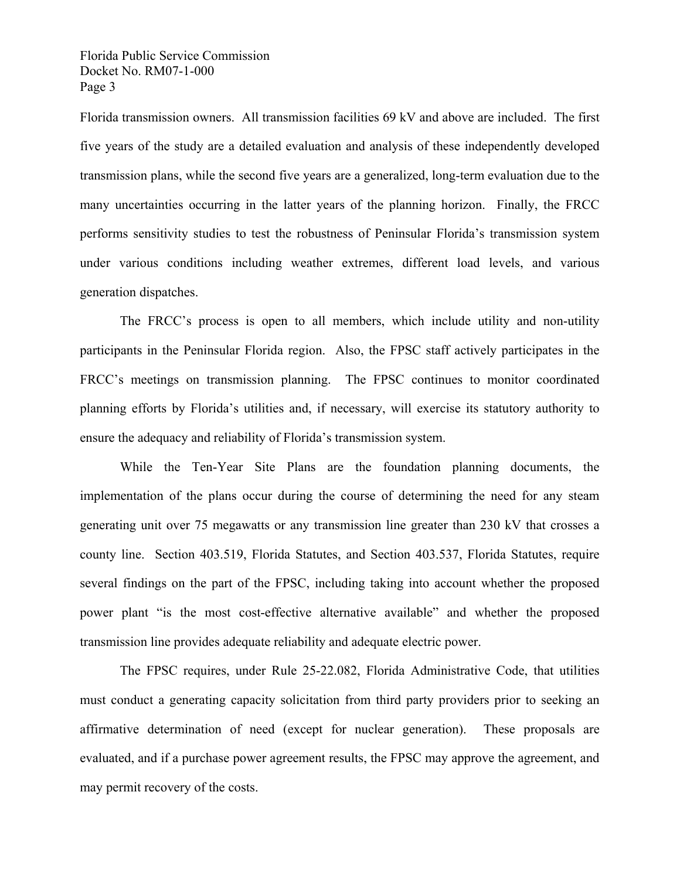Florida transmission owners. All transmission facilities 69 kV and above are included. The first five years of the study are a detailed evaluation and analysis of these independently developed transmission plans, while the second five years are a generalized, long-term evaluation due to the many uncertainties occurring in the latter years of the planning horizon. Finally, the FRCC performs sensitivity studies to test the robustness of Peninsular Florida's transmission system under various conditions including weather extremes, different load levels, and various generation dispatches.

The FRCC's process is open to all members, which include utility and non-utility participants in the Peninsular Florida region. Also, the FPSC staff actively participates in the FRCC's meetings on transmission planning. The FPSC continues to monitor coordinated planning efforts by Florida's utilities and, if necessary, will exercise its statutory authority to ensure the adequacy and reliability of Florida's transmission system.

While the Ten-Year Site Plans are the foundation planning documents, the implementation of the plans occur during the course of determining the need for any steam generating unit over 75 megawatts or any transmission line greater than 230 kV that crosses a county line. Section 403.519, Florida Statutes, and Section 403.537, Florida Statutes, require several findings on the part of the FPSC, including taking into account whether the proposed power plant "is the most cost-effective alternative available" and whether the proposed transmission line provides adequate reliability and adequate electric power.

The FPSC requires, under Rule 25-22.082, Florida Administrative Code, that utilities must conduct a generating capacity solicitation from third party providers prior to seeking an affirmative determination of need (except for nuclear generation). These proposals are evaluated, and if a purchase power agreement results, the FPSC may approve the agreement, and may permit recovery of the costs.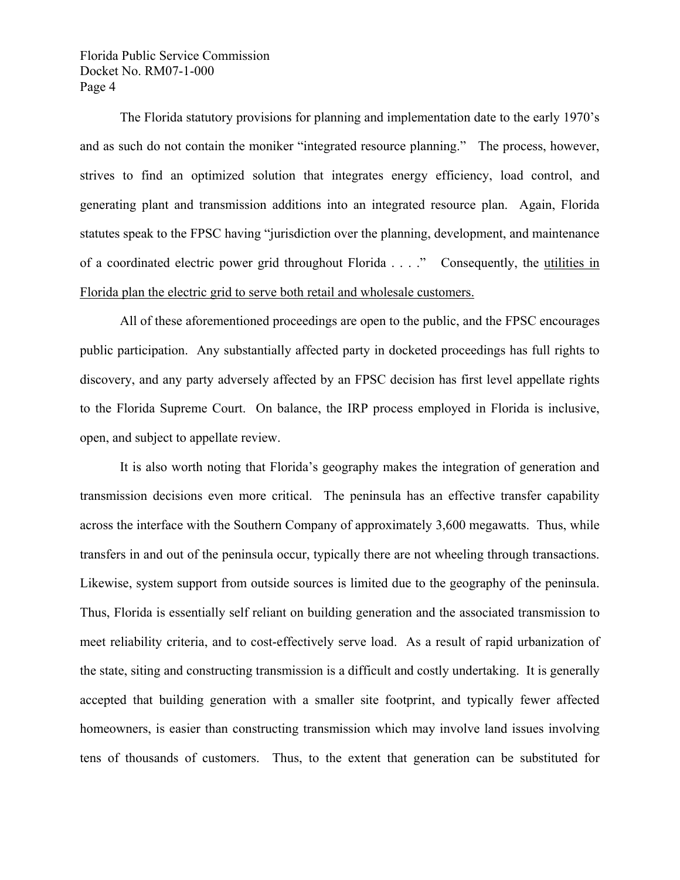The Florida statutory provisions for planning and implementation date to the early 1970's and as such do not contain the moniker "integrated resource planning." The process, however, strives to find an optimized solution that integrates energy efficiency, load control, and generating plant and transmission additions into an integrated resource plan. Again, Florida statutes speak to the FPSC having "jurisdiction over the planning, development, and maintenance of a coordinated electric power grid throughout Florida . . . ." Consequently, the utilities in Florida plan the electric grid to serve both retail and wholesale customers.

All of these aforementioned proceedings are open to the public, and the FPSC encourages public participation. Any substantially affected party in docketed proceedings has full rights to discovery, and any party adversely affected by an FPSC decision has first level appellate rights to the Florida Supreme Court. On balance, the IRP process employed in Florida is inclusive, open, and subject to appellate review.

It is also worth noting that Florida's geography makes the integration of generation and transmission decisions even more critical. The peninsula has an effective transfer capability across the interface with the Southern Company of approximately 3,600 megawatts. Thus, while transfers in and out of the peninsula occur, typically there are not wheeling through transactions. Likewise, system support from outside sources is limited due to the geography of the peninsula. Thus, Florida is essentially self reliant on building generation and the associated transmission to meet reliability criteria, and to cost-effectively serve load. As a result of rapid urbanization of the state, siting and constructing transmission is a difficult and costly undertaking. It is generally accepted that building generation with a smaller site footprint, and typically fewer affected homeowners, is easier than constructing transmission which may involve land issues involving tens of thousands of customers. Thus, to the extent that generation can be substituted for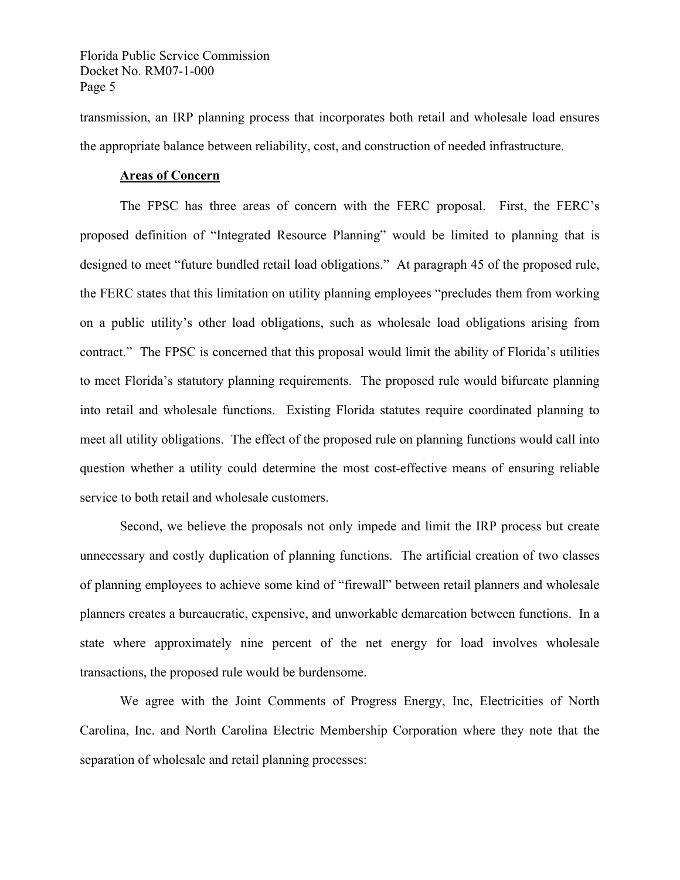transmission, an IRP planning process that incorporates both retail and wholesale load ensures the appropriate balance between reliability, cost, and construction of needed infrastructure.

#### **Areas of Concern**

The FPSC has three areas of concern with the FERC proposal. First, the FERC's proposed definition of "Integrated Resource Planning" would be limited to planning that is designed to meet "future bundled retail load obligations." At paragraph 45 of the proposed rule, the FERC states that this limitation on utility planning employees "precludes them from working on a public utility's other load obligations, such as wholesale load obligations arising from contract." The FPSC is concerned that this proposal would limit the ability of Florida's utilities to meet Florida's statutory planning requirements. The proposed rule would bifurcate planning into retail and wholesale functions. Existing Florida statutes require coordinated planning to meet all utility obligations. The effect of the proposed rule on planning functions would call into question whether a utility could determine the most cost-effective means of ensuring reliable service to both retail and wholesale customers.

Second, we believe the proposals not only impede and limit the IRP process but create unnecessary and costly duplication of planning functions. The artificial creation of two classes of planning employees to achieve some kind of "firewall" between retail planners and wholesale planners creates a bureaucratic, expensive, and unworkable demarcation between functions. In a state where approximately nine percent of the net energy for load involves wholesale transactions, the proposed rule would be burdensome.

We agree with the Joint Comments of Progress Energy, Inc, Electricities of North Carolina, Inc. and North Carolina Electric Membership Corporation where they note that the separation of wholesale and retail planning processes: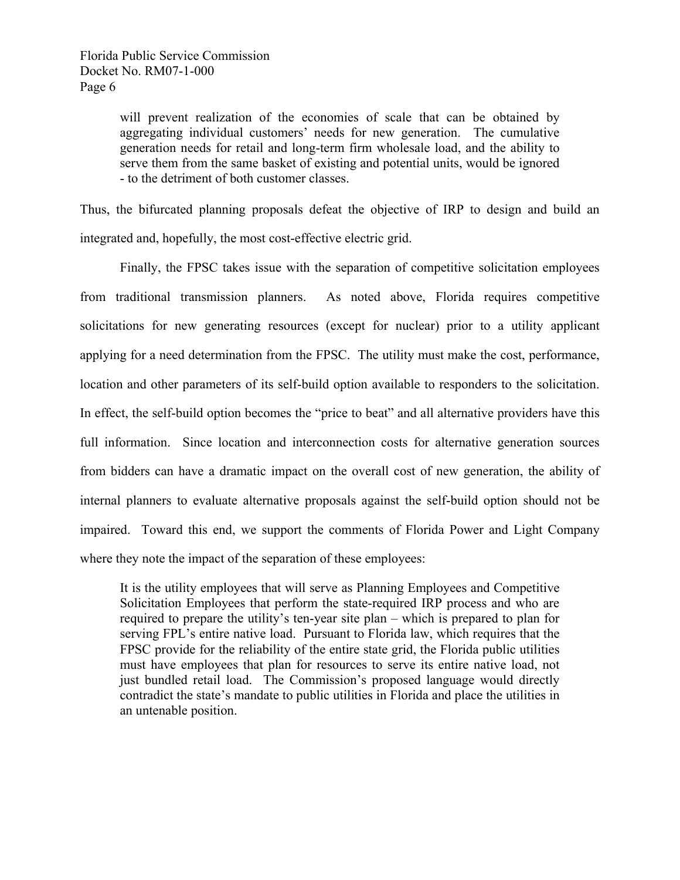will prevent realization of the economies of scale that can be obtained by aggregating individual customers' needs for new generation. The cumulative generation needs for retail and long-term firm wholesale load, and the ability to serve them from the same basket of existing and potential units, would be ignored - to the detriment of both customer classes.

Thus, the bifurcated planning proposals defeat the objective of IRP to design and build an integrated and, hopefully, the most cost-effective electric grid.

Finally, the FPSC takes issue with the separation of competitive solicitation employees from traditional transmission planners. As noted above, Florida requires competitive solicitations for new generating resources (except for nuclear) prior to a utility applicant applying for a need determination from the FPSC. The utility must make the cost, performance, location and other parameters of its self-build option available to responders to the solicitation. In effect, the self-build option becomes the "price to beat" and all alternative providers have this full information. Since location and interconnection costs for alternative generation sources from bidders can have a dramatic impact on the overall cost of new generation, the ability of internal planners to evaluate alternative proposals against the self-build option should not be impaired. Toward this end, we support the comments of Florida Power and Light Company where they note the impact of the separation of these employees:

It is the utility employees that will serve as Planning Employees and Competitive Solicitation Employees that perform the state-required IRP process and who are required to prepare the utility's ten-year site plan – which is prepared to plan for serving FPL's entire native load. Pursuant to Florida law, which requires that the FPSC provide for the reliability of the entire state grid, the Florida public utilities must have employees that plan for resources to serve its entire native load, not just bundled retail load. The Commission's proposed language would directly contradict the state's mandate to public utilities in Florida and place the utilities in an untenable position.